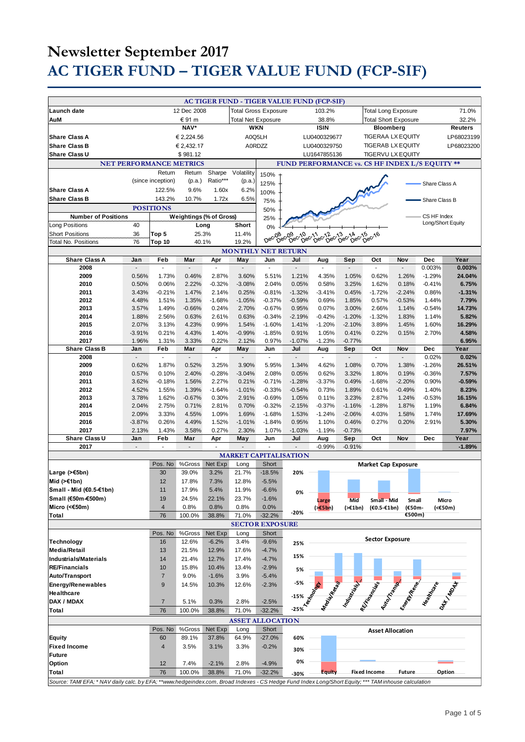|                                                                                                                                                     |                |                                |                         |                             |                           |                              | AC TIGER FUND - TIGER VALUE FUND (FCP-SIF)                               |                          |                      |                                                                                                               |                |                   |                 |
|-----------------------------------------------------------------------------------------------------------------------------------------------------|----------------|--------------------------------|-------------------------|-----------------------------|---------------------------|------------------------------|--------------------------------------------------------------------------|--------------------------|----------------------|---------------------------------------------------------------------------------------------------------------|----------------|-------------------|-----------------|
| Launch date                                                                                                                                         | 12 Dec 2008    |                                |                         | <b>Total Gross Exposure</b> |                           |                              |                                                                          | 103.2%                   |                      | <b>Total Long Exposure</b>                                                                                    |                |                   | 71.0%           |
| AuM                                                                                                                                                 | € 91 m         |                                |                         |                             | <b>Total Net Exposure</b> |                              |                                                                          | 38.8%                    |                      | <b>Total Short Exposure</b>                                                                                   |                |                   | 32.2%           |
|                                                                                                                                                     | NAV*           |                                |                         |                             | <b>WKN</b>                |                              |                                                                          | <b>ISIN</b>              |                      | Bloomberg                                                                                                     |                |                   | <b>Reuters</b>  |
| <b>Share Class A</b>                                                                                                                                |                |                                | € 2.224.56              |                             | A0Q5LH                    |                              |                                                                          | LU0400329677             |                      | <b>TIGERAA LX EQUITY</b>                                                                                      |                |                   | LP68023199      |
| <b>Share Class B</b>                                                                                                                                |                |                                | € 2,432.17              |                             | A0RDZZ                    |                              |                                                                          | LU0400329750             |                      | <b>TIGERAB LX EQUITY</b>                                                                                      |                |                   | LP68023200      |
| Share Class U                                                                                                                                       |                |                                | \$981.12                |                             |                           |                              |                                                                          | LU1647855136             |                      | <b>TIGERVU LX EQUITY</b>                                                                                      |                |                   |                 |
|                                                                                                                                                     |                | <b>NET PERFORMANCE METRICS</b> |                         |                             |                           |                              |                                                                          |                          |                      | FUND PERFORMANCE vs. CS HF INDEX L/S EQUITY **                                                                |                |                   |                 |
|                                                                                                                                                     |                | Return                         | Return                  | Sharpe                      | Volatility                | 150%                         |                                                                          |                          |                      |                                                                                                               |                |                   |                 |
|                                                                                                                                                     |                | (since inception)              | (p.a.)                  | Ratio***                    | (p.a.)                    | 125%                         |                                                                          |                          |                      |                                                                                                               |                | Share Class A     |                 |
| <b>Share Class A</b>                                                                                                                                |                | 122.5%                         | 9.6%                    | 1.60x                       | 6.2%                      | 100%                         |                                                                          |                          |                      |                                                                                                               |                |                   |                 |
| <b>Share Class B</b>                                                                                                                                |                | 143.2%                         | 10.7%                   | 1.72x                       | 6.5%                      | 75%                          |                                                                          |                          |                      |                                                                                                               |                | Share Class B     |                 |
|                                                                                                                                                     |                | <b>POSITIONS</b>               |                         |                             |                           | 50%                          |                                                                          |                          |                      |                                                                                                               |                |                   |                 |
| <b>Number of Positions</b>                                                                                                                          |                |                                | Weightings (% of Gross) |                             |                           | 25%                          |                                                                          |                          |                      |                                                                                                               |                | CS HF Index       |                 |
| Long Positions                                                                                                                                      | 40             |                                | Long                    |                             | Short                     | 0%                           |                                                                          |                          |                      |                                                                                                               |                | Long/Short Equity |                 |
| <b>Short Positions</b>                                                                                                                              | 36             | Top 5                          | 25.3%                   |                             | 11.4%                     | Dec-08                       | 08 c.09 c.10 c.11 cc.12 c.13 c.14 c.15<br>Dec Dec Dec Dec Dec Dec Dec De |                          |                      | Dec-16                                                                                                        |                |                   |                 |
| <b>Total No. Positions</b>                                                                                                                          | 76             | Top 10                         | 40.1%                   |                             | 19.2%                     |                              |                                                                          |                          |                      |                                                                                                               |                |                   |                 |
|                                                                                                                                                     |                |                                |                         |                             |                           | <b>MONTHLY NET RETURN</b>    |                                                                          |                          |                      |                                                                                                               |                |                   |                 |
| <b>Share Class A</b>                                                                                                                                | Jan            | Feb                            | Mar                     | Apr                         | May                       | Jun                          | Jul                                                                      | Aug                      | Sep                  | Oct                                                                                                           | Nov            | <b>Dec</b>        | Year            |
| 2008                                                                                                                                                |                |                                |                         |                             |                           | L.                           |                                                                          |                          |                      | $\overline{\phantom{a}}$                                                                                      |                | 0.003%            | 0.003%          |
| 2009                                                                                                                                                | 0.56%          | 1.73%                          | 0.46%                   | 2.87%                       | 3.60%                     | 5.51%                        | 1.21%                                                                    | 4.35%                    | 1.05%                | 0.62%                                                                                                         | 1.26%          | $-1.29%$          | 24.04%          |
| 2010                                                                                                                                                | 0.50%          | 0.06%                          | 2.22%                   | $-0.32%$                    | $-3.08%$                  | 2.04%                        | 0.05%                                                                    | 0.58%                    | 3.25%                | 1.62%                                                                                                         | 0.18%          | $-0.41%$          | 6.75%           |
| 2011                                                                                                                                                | 3.43%          | $-0.21%$                       | 1.47%                   | 2.14%                       | 0.25%                     | $-0.81%$                     | $-1.32%$                                                                 | $-3.41%$                 | 0.45%                | $-1.72%$                                                                                                      | $-2.24%$       | 0.86%             | $-1.31%$        |
| 2012                                                                                                                                                | 4.48%          | 1.51%                          | 1.35%                   | $-1.68%$                    | $-1.05%$                  | $-0.37%$                     | $-0.59%$                                                                 | 0.69%                    | 1.85%                | 0.57%                                                                                                         | $-0.53%$       | 1.44%             | 7.79%           |
| 2013                                                                                                                                                | 3.57%          | 1.49%                          | $-0.66%$                | 0.24%                       | 2.70%                     | $-0.67%$                     | 0.95%                                                                    | 0.07%                    | 3.00%                | 2.66%                                                                                                         | 1.14%          | $-0.54%$          | 14.73%          |
| 2014<br>2015                                                                                                                                        | 1.88%<br>2.07% | 2.56%<br>3.13%                 | 0.63%<br>4.23%          | 2.61%<br>0.99%              | 0.63%<br>1.54%            | $-0.34%$<br>$-1.60%$         | $-2.19%$<br>1.41%                                                        | $-0.42%$<br>$-1.20%$     | $-1.20%$<br>$-2.10%$ | $-1.32%$<br>3.89%                                                                                             | 1.83%<br>1.45% | 1.14%<br>1.60%    | 5.82%<br>16.29% |
| 2016                                                                                                                                                | $-3.91%$       | 0.21%                          | 4.43%                   | 1.40%                       | $-0.99%$                  | $-1.85%$                     | 0.91%                                                                    | 1.05%                    | 0.41%                | 0.22%                                                                                                         | 0.15%          | 2.70%             | 4.58%           |
| 2017                                                                                                                                                | 1.96%          | 1.31%                          | 3.33%                   | 0.22%                       | 2.12%                     | 0.97%                        | $-1.07%$                                                                 | $-1.23%$                 | $-0.77%$             |                                                                                                               |                |                   | 6.95%           |
| <b>Share Class B</b>                                                                                                                                | Jan            | Feb                            | Mar                     | Apr                         | May                       | Jun                          | Jul                                                                      | Aug                      | Sep                  | Oct                                                                                                           | Nov            | <b>Dec</b>        | Year            |
| 2008                                                                                                                                                |                | ä,                             |                         | $\sim$                      | $\overline{\phantom{a}}$  | ä,                           | $\sim$                                                                   | $\sim$                   |                      | $\overline{\phantom{a}}$                                                                                      |                | 0.02%             | 0.02%           |
| 2009                                                                                                                                                | 0.62%          | 1.87%                          | 0.52%                   | 3.25%                       | 3.90%                     | 5.95%                        | 1.34%                                                                    | 4.62%                    | 1.08%                | 0.70%                                                                                                         | 1.38%          | $-1.26%$          | 26.51%          |
| 2010                                                                                                                                                | 0.57%          | 0.10%                          | 2.40%                   | $-0.28%$                    | $-3.04%$                  | 2.08%                        | 0.05%                                                                    | 0.62%                    | 3.32%                | 1.80%                                                                                                         | 0.19%          | $-0.36%$          | 7.57%           |
| 2011                                                                                                                                                | 3.62%          | $-0.18%$                       | 1.56%                   | 2.27%                       | 0.21%                     | $-0.71%$                     | $-1.28%$                                                                 | $-3.37%$                 | 0.49%                | $-1.68%$                                                                                                      | $-2.20%$       | 0.90%             | $-0.59%$        |
| 2012                                                                                                                                                | 4.52%          | 1.55%                          | 1.39%                   | $-1.64%$                    | $-1.01%$                  | $-0.33%$                     | $-0.54%$                                                                 | 0.73%                    | 1.89%                | 0.61%                                                                                                         | $-0.49%$       | 1.40%             | 8.23%           |
| 2013                                                                                                                                                | 3.78%          | 1.62%                          | $-0.67%$                | 0.30%                       | 2.91%                     | $-0.69%$                     | 1.05%                                                                    | 0.11%                    | 3.23%                | 2.87%                                                                                                         | 1.24%          | $-0.53%$          | 16.15%          |
| 2014                                                                                                                                                | 2.04%          | 2.75%                          | 0.71%                   | 2.81%                       | 0.70%                     | $-0.32%$                     | $-2.15%$                                                                 | $-0.37%$                 | $-1.16%$             | $-1.28%$                                                                                                      | 1.87%          | 1.19%             | 6.84%           |
| 2015                                                                                                                                                | 2.09%          | 3.33%                          | 4.55%                   | 1.09%                       | 1.69%                     | $-1.68%$                     | 1.53%                                                                    | $-1.24%$                 | $-2.06%$             | 4.03%                                                                                                         | 1.58%          | 1.74%             | 17.69%          |
| 2016                                                                                                                                                | $-3.87%$       | 0.26%                          | 4.49%                   | 1.52%                       | $-1.01%$                  | $-1.84%$                     | 0.95%                                                                    | 1.10%                    | 0.46%                | 0.27%                                                                                                         | 0.20%          | 2.91%             | 5.30%           |
| 2017<br>Share Class U                                                                                                                               | 2.13%<br>Jan   | 1.43%<br>Feb                   | 3.58%<br>Mar            | 0.27%<br>Apr                | 2.30%<br>May              | 1.07%<br>Jun                 | $-1.03%$<br>Jul                                                          | $-1.19%$<br>Aug          | $-0.73%$<br>Sep      | Oct                                                                                                           | Nov            | Dec               | 7.97%<br>Year   |
| 2017                                                                                                                                                | $\blacksquare$ | $\blacksquare$                 | $\blacksquare$          | $\overline{\phantom{a}}$    |                           | ÷.                           |                                                                          | $-0.99%$                 | $-0.91%$             |                                                                                                               |                |                   | $-1.89%$        |
|                                                                                                                                                     |                |                                |                         |                             |                           | <b>MARKET CAPITALISATION</b> |                                                                          |                          |                      |                                                                                                               |                |                   |                 |
|                                                                                                                                                     |                | Pos. No                        | %Gross                  | Net Exp                     | Long                      | Short                        |                                                                          |                          |                      | <b>Market Cap Exposure</b>                                                                                    |                |                   |                 |
| Large (>€5bn)                                                                                                                                       |                | 30                             | 39.0%                   | 3.2%                        | 21.7%                     | $-18.5%$                     | 20%                                                                      |                          |                      |                                                                                                               |                |                   |                 |
| Mid (>€1bn)                                                                                                                                         |                | 12                             | 17.8%                   | 7.3%                        | 12.8%                     | $-5.5%$                      |                                                                          |                          |                      |                                                                                                               |                |                   |                 |
| Small - Mid (€0.5-€1bn)                                                                                                                             |                | 11                             | 17.9%                   | 5.4%                        | 11.9%                     | $-6.6%$                      | 0%                                                                       |                          |                      |                                                                                                               |                |                   |                 |
| Small (€50m-€500m)                                                                                                                                  |                | 19                             | 24.5%                   | 22.1%                       | 23.7%                     | $-1.6%$                      |                                                                          | Large                    | Mid                  | Small - Mid                                                                                                   | Small          |                   | Micro           |
| Micro (<€50m)                                                                                                                                       |                | $\overline{4}$                 | 0.8%                    | 0.8%                        | 0.8%                      | 0.0%                         |                                                                          | $(*E5bn)$                | (>€1bn)              | (€0.5-€1bn)                                                                                                   | (€50m-         |                   | $(50m)$         |
| Total                                                                                                                                               |                | 76                             | 100.0%                  | 38.8%                       | 71.0%                     | $-32.2%$                     | $-20%$                                                                   |                          |                      |                                                                                                               | €500m)         |                   |                 |
| <b>SECTOR EXPOSURE</b>                                                                                                                              |                |                                |                         |                             |                           |                              |                                                                          |                          |                      |                                                                                                               |                |                   |                 |
|                                                                                                                                                     |                | Pos. No                        | %Gross                  | Net Exp                     | Long                      | Short                        |                                                                          |                          |                      |                                                                                                               |                |                   |                 |
| Technology                                                                                                                                          |                | 16                             | 12.6%                   | $-6.2%$                     | 3.4%                      | $-9.6%$                      | 25%                                                                      |                          |                      | <b>Sector Exposure</b>                                                                                        |                |                   |                 |
| <b>Media/Retail</b>                                                                                                                                 |                | 13                             | 21.5%                   | 12.9%                       | 17.6%                     | $-4.7%$                      |                                                                          |                          |                      |                                                                                                               |                |                   |                 |
| <b>Industrials/Materials</b>                                                                                                                        |                | 14                             | 21.4%                   | 12.7%                       | 17.4%                     | $-4.7%$                      | 15%                                                                      |                          |                      |                                                                                                               |                |                   |                 |
| <b>RE/Financials</b>                                                                                                                                |                | 10                             | 15.8%                   | 10.4%                       | 13.4%                     | $-2.9%$                      | 5%                                                                       |                          |                      |                                                                                                               |                |                   |                 |
| <b>Auto/Transport</b>                                                                                                                               |                | $\overline{7}$                 | 9.0%                    | $-1.6%$                     | 3.9%                      | $-5.4%$                      |                                                                          |                          |                      |                                                                                                               |                |                   |                 |
| <b>Energy/Renewables</b>                                                                                                                            |                | 9                              | 14.5%                   | 10.3%                       | 12.6%                     | $-2.3%$                      | -5%                                                                      |                          |                      |                                                                                                               |                |                   |                 |
| Healthcare                                                                                                                                          |                |                                |                         |                             |                           |                              | $-15%$                                                                   |                          |                      |                                                                                                               |                |                   |                 |
| DAX / MDAX                                                                                                                                          |                | $\overline{7}$                 | 5.1%                    | 0.3%                        | 2.8%                      | $-2.5%$                      |                                                                          | Mediated<br>Technologies |                      | Maria Contractor Rock de La Contractor de La Contractor de La Contractor de La Contractor de La Contractor de |                |                   | PAT MODAL       |
| Total                                                                                                                                               |                | 76                             | 100.0%                  | 38.8%                       | 71.0%                     | $-32.2%$                     | $-25%$                                                                   |                          |                      |                                                                                                               |                |                   |                 |
| <b>ASSET ALLOCATION</b>                                                                                                                             |                |                                |                         |                             |                           |                              |                                                                          |                          |                      |                                                                                                               |                |                   |                 |
|                                                                                                                                                     |                | Pos. No                        | %Gross                  | Net Exp                     | Long                      | Short                        |                                                                          |                          |                      | <b>Asset Allocation</b>                                                                                       |                |                   |                 |
| <b>Equity</b>                                                                                                                                       |                | 60                             | 89.1%                   | 37.8%                       | 64.9%                     | $-27.0%$                     | 60%                                                                      |                          |                      |                                                                                                               |                |                   |                 |
| <b>Fixed Income</b>                                                                                                                                 |                | $\overline{4}$                 | 3.5%                    | 3.1%                        | 3.3%                      | $-0.2%$                      | 30%                                                                      |                          |                      |                                                                                                               |                |                   |                 |
| <b>Future</b>                                                                                                                                       |                |                                |                         |                             |                           |                              |                                                                          |                          |                      |                                                                                                               |                |                   |                 |
| Option                                                                                                                                              |                | 12                             | 7.4%                    | $-2.1%$                     | 2.8%                      | $-4.9%$                      | 0%                                                                       |                          |                      |                                                                                                               |                |                   |                 |
| Total                                                                                                                                               |                | 76                             | 100.0%                  | 38.8%                       | 71.0%                     | $-32.2%$                     | -30%                                                                     | <b>Equity</b>            |                      | <b>Fixed Income</b>                                                                                           | <b>Future</b>  |                   | Option          |
| Source: TAM/EFA; * NAV daily calc. by EFA; **www.hedgeindex.com, Broad Indexes - CS Hedge Fund Index Long/Short Equity; *** TAM inhouse calculation |                |                                |                         |                             |                           |                              |                                                                          |                          |                      |                                                                                                               |                |                   |                 |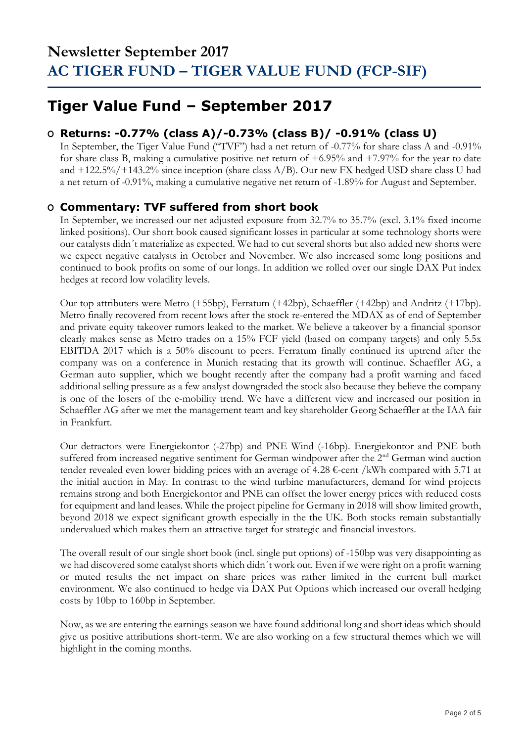## **Tiger Value Fund – September 2017**

### **O Returns: -0.77% (class A)/-0.73% (class B)/ -0.91% (class U)**

In September, the Tiger Value Fund ("TVF") had a net return of -0.77% for share class A and -0.91% for share class B, making a cumulative positive net return of +6.95% and +7.97% for the year to date and +122.5%/+143.2% since inception (share class A/B). Our new FX hedged USD share class U had a net return of -0.91%, making a cumulative negative net return of -1.89% for August and September.

### **O Commentary: TVF suffered from short book**

In September, we increased our net adjusted exposure from 32.7% to 35.7% (excl. 3.1% fixed income linked positions). Our short book caused significant losses in particular at some technology shorts were our catalysts didn´t materialize as expected. We had to cut several shorts but also added new shorts were we expect negative catalysts in October and November. We also increased some long positions and continued to book profits on some of our longs. In addition we rolled over our single DAX Put index hedges at record low volatility levels.

Our top attributers were Metro (+55bp), Ferratum (+42bp), Schaeffler (+42bp) and Andritz (+17bp). Metro finally recovered from recent lows after the stock re-entered the MDAX as of end of September and private equity takeover rumors leaked to the market. We believe a takeover by a financial sponsor clearly makes sense as Metro trades on a 15% FCF yield (based on company targets) and only 5.5x EBITDA 2017 which is a 50% discount to peers. Ferratum finally continued its uptrend after the company was on a conference in Munich restating that its growth will continue. Schaeffler AG, a German auto supplier, which we bought recently after the company had a profit warning and faced additional selling pressure as a few analyst downgraded the stock also because they believe the company is one of the losers of the e-mobility trend. We have a different view and increased our position in Schaeffler AG after we met the management team and key shareholder Georg Schaeffler at the IAA fair in Frankfurt.

Our detractors were Energiekontor (-27bp) and PNE Wind (-16bp). Energiekontor and PNE both suffered from increased negative sentiment for German windpower after the 2<sup>nd</sup> German wind auction tender revealed even lower bidding prices with an average of 4.28  $\epsilon$ -cent /kWh compared with 5.71 at the initial auction in May. In contrast to the wind turbine manufacturers, demand for wind projects remains strong and both Energiekontor and PNE can offset the lower energy prices with reduced costs for equipment and land leases. While the project pipeline for Germany in 2018 will show limited growth, beyond 2018 we expect significant growth especially in the the UK. Both stocks remain substantially undervalued which makes them an attractive target for strategic and financial investors.

The overall result of our single short book (incl. single put options) of -150bp was very disappointing as we had discovered some catalyst shorts which didn´t work out. Even if we were right on a profit warning or muted results the net impact on share prices was rather limited in the current bull market environment. We also continued to hedge via DAX Put Options which increased our overall hedging costs by 10bp to 160bp in September.

Now, as we are entering the earnings season we have found additional long and short ideas which should give us positive attributions short-term. We are also working on a few structural themes which we will highlight in the coming months.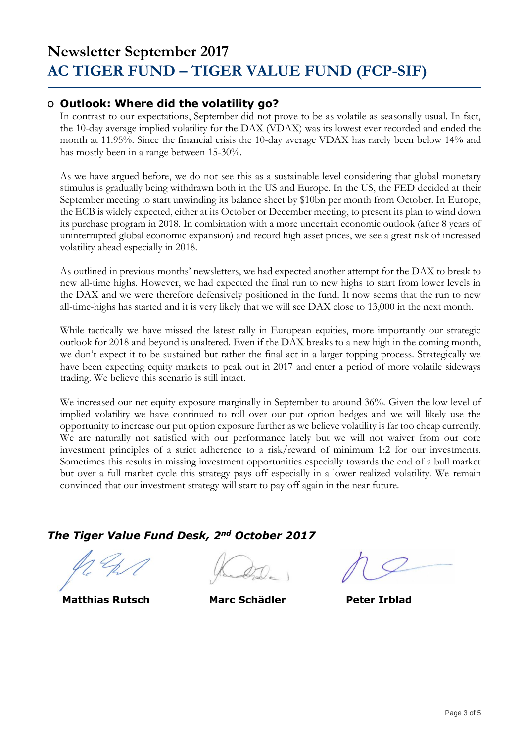### **O Outlook: Where did the volatility go?**

In contrast to our expectations, September did not prove to be as volatile as seasonally usual. In fact, the 10-day average implied volatility for the DAX (VDAX) was its lowest ever recorded and ended the month at 11.95%. Since the financial crisis the 10-day average VDAX has rarely been below 14% and has mostly been in a range between 15-30%.

As we have argued before, we do not see this as a sustainable level considering that global monetary stimulus is gradually being withdrawn both in the US and Europe. In the US, the FED decided at their September meeting to start unwinding its balance sheet by \$10bn per month from October. In Europe, the ECB is widely expected, either at its October or December meeting, to present its plan to wind down its purchase program in 2018. In combination with a more uncertain economic outlook (after 8 years of uninterrupted global economic expansion) and record high asset prices, we see a great risk of increased volatility ahead especially in 2018.

As outlined in previous months' newsletters, we had expected another attempt for the DAX to break to new all-time highs. However, we had expected the final run to new highs to start from lower levels in the DAX and we were therefore defensively positioned in the fund. It now seems that the run to new all-time-highs has started and it is very likely that we will see DAX close to 13,000 in the next month.

While tactically we have missed the latest rally in European equities, more importantly our strategic outlook for 2018 and beyond is unaltered. Even if the DAX breaks to a new high in the coming month, we don't expect it to be sustained but rather the final act in a larger topping process. Strategically we have been expecting equity markets to peak out in 2017 and enter a period of more volatile sideways trading. We believe this scenario is still intact.

We increased our net equity exposure marginally in September to around 36%. Given the low level of implied volatility we have continued to roll over our put option hedges and we will likely use the opportunity to increase our put option exposure further as we believe volatility is far too cheap currently. We are naturally not satisfied with our performance lately but we will not waiver from our core investment principles of a strict adherence to a risk/reward of minimum 1:2 for our investments. Sometimes this results in missing investment opportunities especially towards the end of a bull market but over a full market cycle this strategy pays off especially in a lower realized volatility. We remain convinced that our investment strategy will start to pay off again in the near future.

#### *The Tiger Value Fund Desk, 2nd October 2017*

 **Matthias Rutsch Marc Schädler Peter Irblad**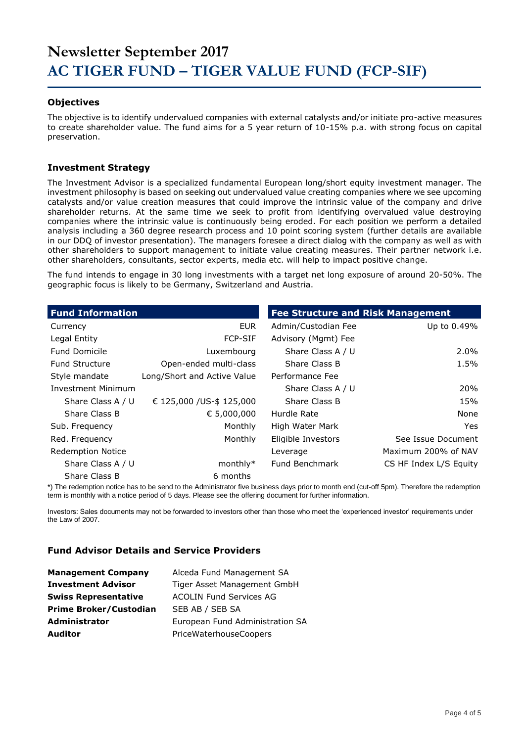#### **Objectives**

The objective is to identify undervalued companies with external catalysts and/or initiate pro-active measures to create shareholder value. The fund aims for a 5 year return of 10-15% p.a. with strong focus on capital preservation.

#### **Investment Strategy**

The Investment Advisor is a specialized fundamental European long/short equity investment manager. The investment philosophy is based on seeking out undervalued value creating companies where we see upcoming catalysts and/or value creation measures that could improve the intrinsic value of the company and drive shareholder returns. At the same time we seek to profit from identifying overvalued value destroying companies where the intrinsic value is continuously being eroded. For each position we perform a detailed analysis including a 360 degree research process and 10 point scoring system (further details are available in our DDQ of investor presentation). The managers foresee a direct dialog with the company as well as with other shareholders to support management to initiate value creating measures. Their partner network i.e. other shareholders, consultants, sector experts, media etc. will help to impact positive change.

The fund intends to engage in 30 long investments with a target net long exposure of around 20-50%. The geographic focus is likely to be Germany, Switzerland and Austria.

| <b>Fund Information</b>   |                             | <b>Fee Structure and Risk Management</b> |                        |
|---------------------------|-----------------------------|------------------------------------------|------------------------|
| Currency                  | <b>EUR</b>                  | Admin/Custodian Fee                      | Up to 0.49%            |
| Legal Entity              | <b>FCP-SIF</b>              | Advisory (Mgmt) Fee                      |                        |
| <b>Fund Domicile</b>      | Luxembourg                  | Share Class A / U                        | $2.0\%$                |
| <b>Fund Structure</b>     | Open-ended multi-class      | Share Class B                            | 1.5%                   |
| Style mandate             | Long/Short and Active Value | Performance Fee                          |                        |
| <b>Investment Minimum</b> |                             | Share Class A / U                        | <b>20%</b>             |
| Share Class A / U         | € 125,000 / US-\$ 125,000   | Share Class B                            | 15%                    |
| Share Class B             | € 5,000,000                 | Hurdle Rate                              | None                   |
| Sub. Frequency            | Monthly                     | High Water Mark                          | Yes.                   |
| Red. Frequency            | Monthly                     | Eligible Investors                       | See Issue Document     |
| <b>Redemption Notice</b>  |                             | Leverage                                 | Maximum 200% of NAV    |
| Share Class A / U         | $monthly*$                  | Fund Benchmark                           | CS HF Index L/S Equity |
| Share Class B             | 6 months                    |                                          |                        |

\*) The redemption notice has to be send to the Administrator five business days prior to month end (cut-off 5pm). Therefore the redemption term is monthly with a notice period of 5 days. Please see the offering document for further information.

Investors: Sales documents may not be forwarded to investors other than those who meet the 'experienced investor' requirements under the Law of 2007.

#### **Fund Advisor Details and Service Providers**

| <b>Management Company</b>     | Alceda Fund Management SA       |
|-------------------------------|---------------------------------|
| <b>Investment Advisor</b>     | Tiger Asset Management GmbH     |
| <b>Swiss Representative</b>   | <b>ACOLIN Fund Services AG</b>  |
| <b>Prime Broker/Custodian</b> | SEB AB / SEB SA                 |
| <b>Administrator</b>          | European Fund Administration SA |
| <b>Auditor</b>                | PriceWaterhouseCoopers          |